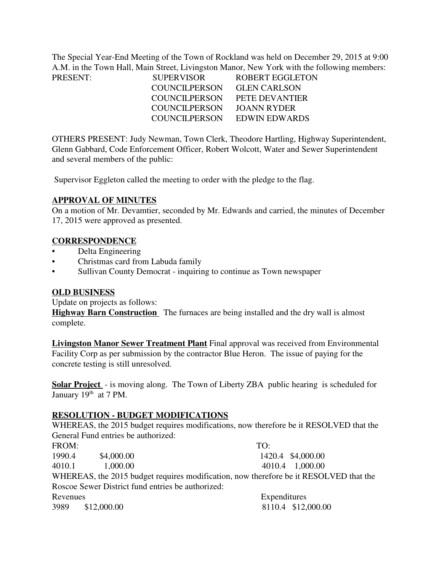The Special Year-End Meeting of the Town of Rockland was held on December 29, 2015 at 9:00 A.M. in the Town Hall, Main Street, Livingston Manor, New York with the following members:

| PRESENT: | <b>SUPERVISOR</b>    | ROBERT EGGLETON     |
|----------|----------------------|---------------------|
|          | <b>COUNCILPERSON</b> | <b>GLEN CARLSON</b> |
|          | <b>COUNCILPERSON</b> | PETE DEVANTIER      |
|          | <b>COUNCILPERSON</b> | JOANN RYDER         |
|          | <b>COUNCILPERSON</b> | EDWIN EDWARDS       |

OTHERS PRESENT: Judy Newman, Town Clerk, Theodore Hartling, Highway Superintendent, Glenn Gabbard, Code Enforcement Officer, Robert Wolcott, Water and Sewer Superintendent and several members of the public:

Supervisor Eggleton called the meeting to order with the pledge to the flag.

### **APPROVAL OF MINUTES**

On a motion of Mr. Devamtier, seconded by Mr. Edwards and carried, the minutes of December 17, 2015 were approved as presented.

### **CORRESPONDENCE**

- Delta Engineering
- Christmas card from Labuda family
- Sullivan County Democrat inquiring to continue as Town newspaper

#### **OLD BUSINESS**

Update on projects as follows:

**Highway Barn Construction** The furnaces are being installed and the dry wall is almost complete.

**Livingston Manor Sewer Treatment Plant** Final approval was received from Environmental Facility Corp as per submission by the contractor Blue Heron. The issue of paying for the concrete testing is still unresolved.

**Solar Project** - is moving along. The Town of Liberty ZBA public hearing is scheduled for January  $19<sup>th</sup>$  at 7 PM.

## **RESOLUTION - BUDGET MODIFICATIONS**

WHEREAS, the 2015 budget requires modifications, now therefore be it RESOLVED that the General Fund entries be authorized:

| FROM:    |                                                   | TO:                                                                                   |                    |
|----------|---------------------------------------------------|---------------------------------------------------------------------------------------|--------------------|
| 1990.4   | \$4,000.00                                        |                                                                                       | 1420.4 \$4,000.00  |
| 4010.1   | 1,000.00                                          |                                                                                       | 4010.4 1,000.00    |
|          |                                                   | WHEREAS, the 2015 budget requires modification, now therefore be it RESOLVED that the |                    |
|          | Roscoe Sewer District fund entries be authorized: |                                                                                       |                    |
| Revenues |                                                   | Expenditures                                                                          |                    |
|          | 3989 \$12,000.00                                  |                                                                                       | 8110.4 \$12,000.00 |